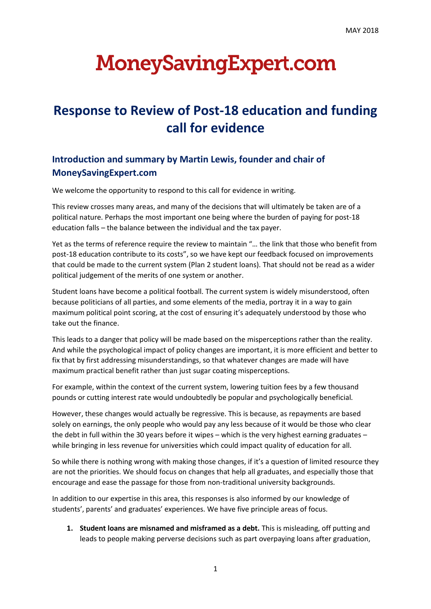# **MoneySavingExpert.com**

## **Response to Review of Post-18 education and funding call for evidence**

### **Introduction and summary by Martin Lewis, founder and chair of MoneySavingExpert.com**

We welcome the opportunity to respond to this call for evidence in writing.

This review crosses many areas, and many of the decisions that will ultimately be taken are of a political nature. Perhaps the most important one being where the burden of paying for post-18 education falls – the balance between the individual and the tax payer.

Yet as the terms of reference require the review to maintain "… the link that those who benefit from post-18 education contribute to its costs", so we have kept our feedback focused on improvements that could be made to the current system (Plan 2 student loans). That should not be read as a wider political judgement of the merits of one system or another.

Student loans have become a political football. The current system is widely misunderstood, often because politicians of all parties, and some elements of the media, portray it in a way to gain maximum political point scoring, at the cost of ensuring it's adequately understood by those who take out the finance.

This leads to a danger that policy will be made based on the misperceptions rather than the reality. And while the psychological impact of policy changes are important, it is more efficient and better to fix that by first addressing misunderstandings, so that whatever changes are made will have maximum practical benefit rather than just sugar coating misperceptions.

For example, within the context of the current system, lowering tuition fees by a few thousand pounds or cutting interest rate would undoubtedly be popular and psychologically beneficial.

However, these changes would actually be regressive. This is because, as repayments are based solely on earnings, the only people who would pay any less because of it would be those who clear the debt in full within the 30 years before it wipes – which is the very highest earning graduates – while bringing in less revenue for universities which could impact quality of education for all.

So while there is nothing wrong with making those changes, if it's a question of limited resource they are not the priorities. We should focus on changes that help all graduates, and especially those that encourage and ease the passage for those from non-traditional university backgrounds.

In addition to our expertise in this area, this responses is also informed by our knowledge of students', parents' and graduates' experiences. We have five principle areas of focus.

**1. Student loans are misnamed and misframed as a debt.** This is misleading, off putting and leads to people making perverse decisions such as part overpaying loans after graduation,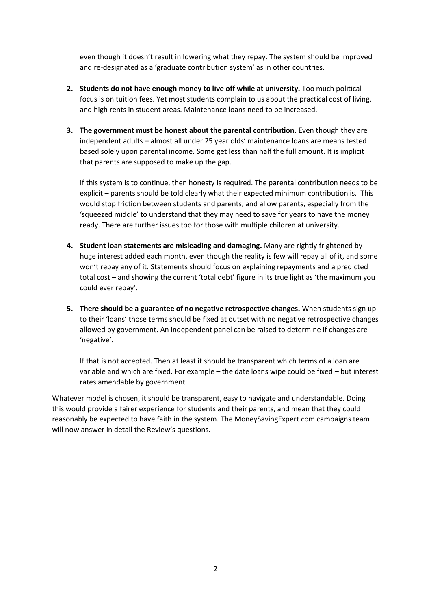even though it doesn't result in lowering what they repay. The system should be improved and re-designated as a 'graduate contribution system' as in other countries.

- **2. Students do not have enough money to live off while at university.** Too much political focus is on tuition fees. Yet most students complain to us about the practical cost of living, and high rents in student areas. Maintenance loans need to be increased.
- **3. The government must be honest about the parental contribution.** Even though they are independent adults – almost all under 25 year olds' maintenance loans are means tested based solely upon parental income. Some get less than half the full amount. It is implicit that parents are supposed to make up the gap.

If this system is to continue, then honesty is required. The parental contribution needs to be explicit – parents should be told clearly what their expected minimum contribution is. This would stop friction between students and parents, and allow parents, especially from the 'squeezed middle' to understand that they may need to save for years to have the money ready. There are further issues too for those with multiple children at university.

- **4. Student loan statements are misleading and damaging.** Many are rightly frightened by huge interest added each month, even though the reality is few will repay all of it, and some won't repay any of it. Statements should focus on explaining repayments and a predicted total cost – and showing the current 'total debt' figure in its true light as 'the maximum you could ever repay'.
- **5. There should be a guarantee of no negative retrospective changes.** When students sign up to their 'loans' those terms should be fixed at outset with no negative retrospective changes allowed by government. An independent panel can be raised to determine if changes are 'negative'.

If that is not accepted. Then at least it should be transparent which terms of a loan are variable and which are fixed. For example – the date loans wipe could be fixed – but interest rates amendable by government.

Whatever model is chosen, it should be transparent, easy to navigate and understandable. Doing this would provide a fairer experience for students and their parents, and mean that they could reasonably be expected to have faith in the system. The MoneySavingExpert.com campaigns team will now answer in detail the Review's questions.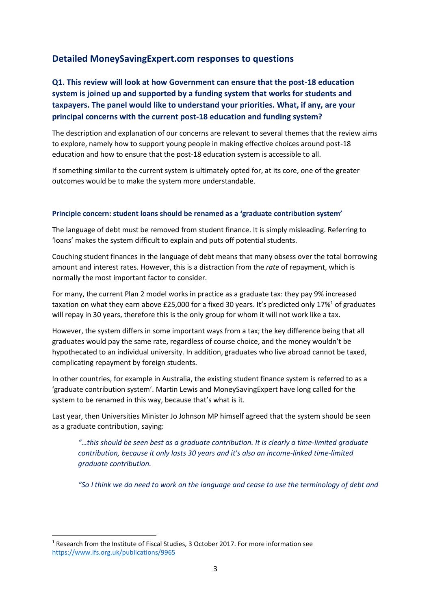#### **Detailed MoneySavingExpert.com responses to questions**

#### **Q1. This review will look at how Government can ensure that the post-18 education system is joined up and supported by a funding system that works for students and taxpayers. The panel would like to understand your priorities. What, if any, are your principal concerns with the current post-18 education and funding system?**

The description and explanation of our concerns are relevant to several themes that the review aims to explore, namely how to support young people in making effective choices around post-18 education and how to ensure that the post-18 education system is accessible to all.

If something similar to the current system is ultimately opted for, at its core, one of the greater outcomes would be to make the system more understandable.

#### **Principle concern: student loans should be renamed as a 'graduate contribution system'**

The language of debt must be removed from student finance. It is simply misleading. Referring to 'loans' makes the system difficult to explain and puts off potential students.

Couching student finances in the language of debt means that many obsess over the total borrowing amount and interest rates. However, this is a distraction from the *rate* of repayment, which is normally the most important factor to consider.

For many, the current Plan 2 model works in practice as a graduate tax: they pay 9% increased taxation on what they earn above £25,000 for a fixed 30 years. It's predicted only 17%<sup>1</sup> of graduates will repay in 30 years, therefore this is the only group for whom it will not work like a tax.

However, the system differs in some important ways from a tax; the key difference being that all graduates would pay the same rate, regardless of course choice, and the money wouldn't be hypothecated to an individual university. In addition, graduates who live abroad cannot be taxed, complicating repayment by foreign students.

In other countries, for example in Australia, the existing student finance system is referred to as a 'graduate contribution system'. Martin Lewis and MoneySavingExpert have long called for the system to be renamed in this way, because that's what is it.

Last year, then Universities Minister Jo Johnson MP himself agreed that the system should be seen as a graduate contribution, saying:

*"…this should be seen best as a graduate contribution. It is clearly a time-limited graduate contribution, because it only lasts 30 years and it's also an income-linked time-limited graduate contribution.*

*"So I think we do need to work on the language and cease to use the terminology of debt and* 

1

<sup>&</sup>lt;sup>1</sup> Research from the Institute of Fiscal Studies, 3 October 2017. For more information see <https://www.ifs.org.uk/publications/9965>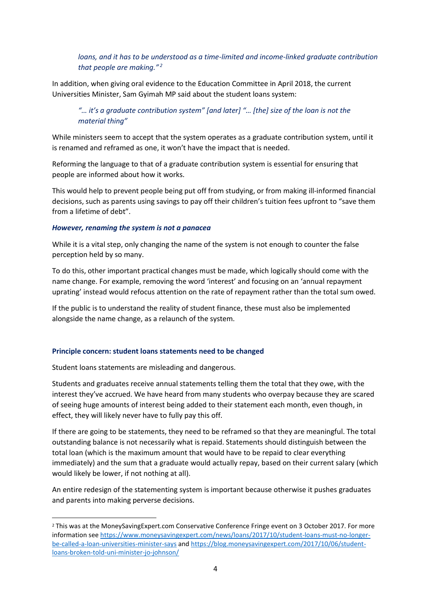#### *loans, and it has to be understood as a time-limited and income-linked graduate contribution that people are making." <sup>2</sup>*

In addition, when giving oral evidence to the Education Committee in April 2018, the current Universities Minister, Sam Gyimah MP said about the student loans system:

#### *"… it's a graduate contribution system" [and later] "… [the] size of the loan is not the material thing"*

While ministers seem to accept that the system operates as a graduate contribution system, until it is renamed and reframed as one, it won't have the impact that is needed.

Reforming the language to that of a graduate contribution system is essential for ensuring that people are informed about how it works.

This would help to prevent people being put off from studying, or from making ill-informed financial decisions, such as parents using savings to pay off their children's tuition fees upfront to "save them from a lifetime of debt".

#### *However, renaming the system is not a panacea*

While it is a vital step, only changing the name of the system is not enough to counter the false perception held by so many.

To do this, other important practical changes must be made, which logically should come with the name change. For example, removing the word 'interest' and focusing on an 'annual repayment uprating' instead would refocus attention on the rate of repayment rather than the total sum owed.

If the public is to understand the reality of student finance, these must also be implemented alongside the name change, as a relaunch of the system.

#### **Principle concern: student loans statements need to be changed**

Student loans statements are misleading and dangerous.

1

Students and graduates receive annual statements telling them the total that they owe, with the interest they've accrued. We have heard from many students who overpay because they are scared of seeing huge amounts of interest being added to their statement each month, even though, in effect, they will likely never have to fully pay this off.

If there are going to be statements, they need to be reframed so that they are meaningful. The total outstanding balance is not necessarily what is repaid. Statements should distinguish between the total loan (which is the maximum amount that would have to be repaid to clear everything immediately) and the sum that a graduate would actually repay, based on their current salary (which would likely be lower, if not nothing at all).

An entire redesign of the statementing system is important because otherwise it pushes graduates and parents into making perverse decisions.

<sup>2</sup> This was at the MoneySavingExpert.com Conservative Conference Fringe event on 3 October 2017. For more information se[e https://www.moneysavingexpert.com/news/loans/2017/10/student-loans-must-no-longer](https://www.moneysavingexpert.com/news/loans/2017/10/student-loans-must-no-longer-be-called-a-loan-universities-minister-says)[be-called-a-loan-universities-minister-says](https://www.moneysavingexpert.com/news/loans/2017/10/student-loans-must-no-longer-be-called-a-loan-universities-minister-says) and [https://blog.moneysavingexpert.com/2017/10/06/student](https://blog.moneysavingexpert.com/2017/10/06/student-loans-broken-told-uni-minister-jo-johnson/)[loans-broken-told-uni-minister-jo-johnson/](https://blog.moneysavingexpert.com/2017/10/06/student-loans-broken-told-uni-minister-jo-johnson/)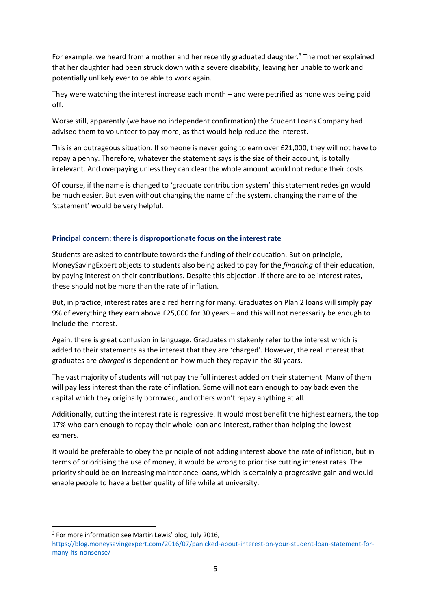For example, we heard from a mother and her recently graduated daughter.<sup>3</sup> The mother explained that her daughter had been struck down with a severe disability, leaving her unable to work and potentially unlikely ever to be able to work again.

They were watching the interest increase each month – and were petrified as none was being paid off.

Worse still, apparently (we have no independent confirmation) the Student Loans Company had advised them to volunteer to pay more, as that would help reduce the interest.

This is an outrageous situation. If someone is never going to earn over £21,000, they will not have to repay a penny. Therefore, whatever the statement says is the size of their account, is totally irrelevant. And overpaying unless they can clear the whole amount would not reduce their costs.

Of course, if the name is changed to 'graduate contribution system' this statement redesign would be much easier. But even without changing the name of the system, changing the name of the 'statement' would be very helpful.

#### **Principal concern: there is disproportionate focus on the interest rate**

Students are asked to contribute towards the funding of their education. But on principle, MoneySavingExpert objects to students also being asked to pay for the *financing* of their education, by paying interest on their contributions. Despite this objection, if there are to be interest rates, these should not be more than the rate of inflation.

But, in practice, interest rates are a red herring for many. Graduates on Plan 2 loans will simply pay 9% of everything they earn above £25,000 for 30 years – and this will not necessarily be enough to include the interest.

Again, there is great confusion in language. Graduates mistakenly refer to the interest which is added to their statements as the interest that they are 'charged'. However, the real interest that graduates are *charged* is dependent on how much they repay in the 30 years.

The vast majority of students will not pay the full interest added on their statement. Many of them will pay less interest than the rate of inflation. Some will not earn enough to pay back even the capital which they originally borrowed, and others won't repay anything at all.

Additionally, cutting the interest rate is regressive. It would most benefit the highest earners, the top 17% who earn enough to repay their whole loan and interest, rather than helping the lowest earners.

It would be preferable to obey the principle of not adding interest above the rate of inflation, but in terms of prioritising the use of money, it would be wrong to prioritise cutting interest rates. The priority should be on increasing maintenance loans, which is certainly a progressive gain and would enable people to have a better quality of life while at university.

<sup>3</sup> For more information see Martin Lewis' blog, July 2016,

**.** 

[https://blog.moneysavingexpert.com/2016/07/panicked-about-interest-on-your-student-loan-statement-for](https://blog.moneysavingexpert.com/2016/07/panicked-about-interest-on-your-student-loan-statement-for-many-its-nonsense/)[many-its-nonsense/](https://blog.moneysavingexpert.com/2016/07/panicked-about-interest-on-your-student-loan-statement-for-many-its-nonsense/)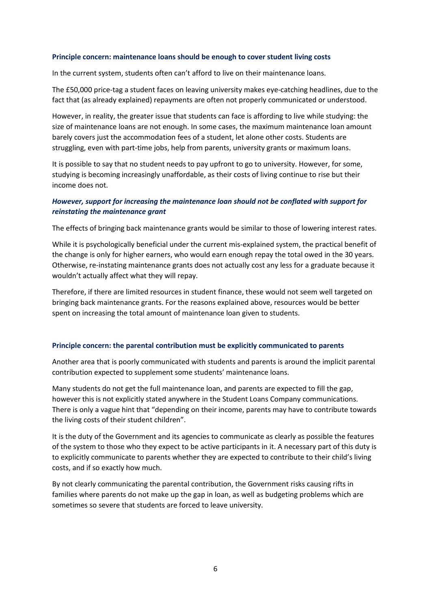#### **Principle concern: maintenance loans should be enough to cover student living costs**

In the current system, students often can't afford to live on their maintenance loans.

The £50,000 price-tag a student faces on leaving university makes eye-catching headlines, due to the fact that (as already explained) repayments are often not properly communicated or understood.

However, in reality, the greater issue that students can face is affording to live while studying: the size of maintenance loans are not enough. In some cases, the maximum maintenance loan amount barely covers just the accommodation fees of a student, let alone other costs. Students are struggling, even with part-time jobs, help from parents, university grants or maximum loans.

It is possible to say that no student needs to pay upfront to go to university. However, for some, studying is becoming increasingly unaffordable, as their costs of living continue to rise but their income does not.

#### *However, support for increasing the maintenance loan should not be conflated with support for reinstating the maintenance grant*

The effects of bringing back maintenance grants would be similar to those of lowering interest rates.

While it is psychologically beneficial under the current mis-explained system, the practical benefit of the change is only for higher earners, who would earn enough repay the total owed in the 30 years. Otherwise, re-instating maintenance grants does not actually cost any less for a graduate because it wouldn't actually affect what they will repay.

Therefore, if there are limited resources in student finance, these would not seem well targeted on bringing back maintenance grants. For the reasons explained above, resources would be better spent on increasing the total amount of maintenance loan given to students.

#### **Principle concern: the parental contribution must be explicitly communicated to parents**

Another area that is poorly communicated with students and parents is around the implicit parental contribution expected to supplement some students' maintenance loans.

Many students do not get the full maintenance loan, and parents are expected to fill the gap, however this is not explicitly stated anywhere in the Student Loans Company communications. There is only a vague hint that "depending on their income, parents may have to contribute towards the living costs of their student children".

It is the duty of the Government and its agencies to communicate as clearly as possible the features of the system to those who they expect to be active participants in it. A necessary part of this duty is to explicitly communicate to parents whether they are expected to contribute to their child's living costs, and if so exactly how much.

By not clearly communicating the parental contribution, the Government risks causing rifts in families where parents do not make up the gap in loan, as well as budgeting problems which are sometimes so severe that students are forced to leave university.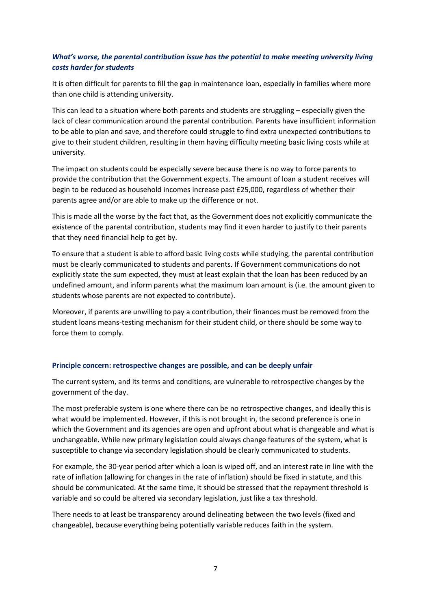#### *What's worse, the parental contribution issue has the potential to make meeting university living costs harder for students*

It is often difficult for parents to fill the gap in maintenance loan, especially in families where more than one child is attending university.

This can lead to a situation where both parents and students are struggling – especially given the lack of clear communication around the parental contribution. Parents have insufficient information to be able to plan and save, and therefore could struggle to find extra unexpected contributions to give to their student children, resulting in them having difficulty meeting basic living costs while at university.

The impact on students could be especially severe because there is no way to force parents to provide the contribution that the Government expects. The amount of loan a student receives will begin to be reduced as household incomes increase past £25,000, regardless of whether their parents agree and/or are able to make up the difference or not.

This is made all the worse by the fact that, as the Government does not explicitly communicate the existence of the parental contribution, students may find it even harder to justify to their parents that they need financial help to get by.

To ensure that a student is able to afford basic living costs while studying, the parental contribution must be clearly communicated to students and parents. If Government communications do not explicitly state the sum expected, they must at least explain that the loan has been reduced by an undefined amount, and inform parents what the maximum loan amount is (i.e. the amount given to students whose parents are not expected to contribute).

Moreover, if parents are unwilling to pay a contribution, their finances must be removed from the student loans means-testing mechanism for their student child, or there should be some way to force them to comply.

#### **Principle concern: retrospective changes are possible, and can be deeply unfair**

The current system, and its terms and conditions, are vulnerable to retrospective changes by the government of the day.

The most preferable system is one where there can be no retrospective changes, and ideally this is what would be implemented. However, if this is not brought in, the second preference is one in which the Government and its agencies are open and upfront about what is changeable and what is unchangeable. While new primary legislation could always change features of the system, what is susceptible to change via secondary legislation should be clearly communicated to students.

For example, the 30-year period after which a loan is wiped off, and an interest rate in line with the rate of inflation (allowing for changes in the rate of inflation) should be fixed in statute, and this should be communicated. At the same time, it should be stressed that the repayment threshold is variable and so could be altered via secondary legislation, just like a tax threshold.

There needs to at least be transparency around delineating between the two levels (fixed and changeable), because everything being potentially variable reduces faith in the system.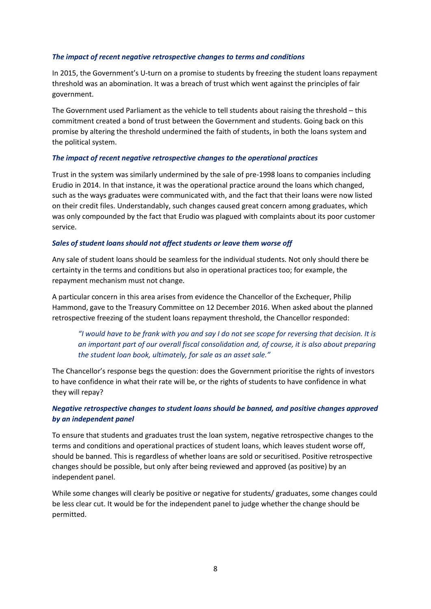#### *The impact of recent negative retrospective changes to terms and conditions*

In 2015, the Government's U-turn on a promise to students by freezing the student loans repayment threshold was an abomination. It was a breach of trust which went against the principles of fair government.

The Government used Parliament as the vehicle to tell students about raising the threshold – this commitment created a bond of trust between the Government and students. Going back on this promise by altering the threshold undermined the faith of students, in both the loans system and the political system.

#### *The impact of recent negative retrospective changes to the operational practices*

Trust in the system was similarly undermined by the sale of pre-1998 loans to companies including Erudio in 2014. In that instance, it was the operational practice around the loans which changed, such as the ways graduates were communicated with, and the fact that their loans were now listed on their credit files. Understandably, such changes caused great concern among graduates, which was only compounded by the fact that Erudio was plagued with complaints about its poor customer service.

#### *Sales of student loans should not affect students or leave them worse off*

Any sale of student loans should be seamless for the individual students. Not only should there be certainty in the terms and conditions but also in operational practices too; for example, the repayment mechanism must not change.

A particular concern in this area arises from evidence the Chancellor of the Exchequer, Philip Hammond, gave to the Treasury Committee on 12 December 2016. When asked about the planned retrospective freezing of the student loans repayment threshold, the Chancellor responded:

*"I would have to be frank with you and say I do not see scope for reversing that decision. It is an important part of our overall fiscal consolidation and, of course, it is also about preparing the student loan book, ultimately, for sale as an asset sale."*

The Chancellor's response begs the question: does the Government prioritise the rights of investors to have confidence in what their rate will be, or the rights of students to have confidence in what they will repay?

#### *Negative retrospective changes to student loans should be banned, and positive changes approved by an independent panel*

To ensure that students and graduates trust the loan system, negative retrospective changes to the terms and conditions and operational practices of student loans, which leaves student worse off, should be banned. This is regardless of whether loans are sold or securitised. Positive retrospective changes should be possible, but only after being reviewed and approved (as positive) by an independent panel.

While some changes will clearly be positive or negative for students/ graduates, some changes could be less clear cut. It would be for the independent panel to judge whether the change should be permitted.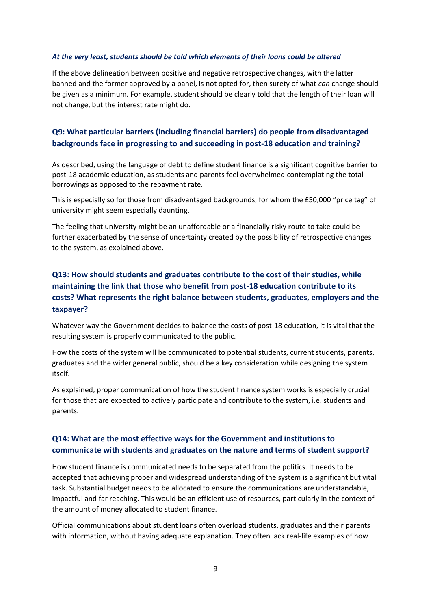#### *At the very least, students should be told which elements of their loans could be altered*

If the above delineation between positive and negative retrospective changes, with the latter banned and the former approved by a panel, is not opted for, then surety of what *can* change should be given as a minimum. For example, student should be clearly told that the length of their loan will not change, but the interest rate might do.

#### **Q9: What particular barriers (including financial barriers) do people from disadvantaged backgrounds face in progressing to and succeeding in post-18 education and training?**

As described, using the language of debt to define student finance is a significant cognitive barrier to post-18 academic education, as students and parents feel overwhelmed contemplating the total borrowings as opposed to the repayment rate.

This is especially so for those from disadvantaged backgrounds, for whom the £50,000 "price tag" of university might seem especially daunting.

The feeling that university might be an unaffordable or a financially risky route to take could be further exacerbated by the sense of uncertainty created by the possibility of retrospective changes to the system, as explained above.

#### **Q13: How should students and graduates contribute to the cost of their studies, while maintaining the link that those who benefit from post-18 education contribute to its costs? What represents the right balance between students, graduates, employers and the taxpayer?**

Whatever way the Government decides to balance the costs of post-18 education, it is vital that the resulting system is properly communicated to the public.

How the costs of the system will be communicated to potential students, current students, parents, graduates and the wider general public, should be a key consideration while designing the system itself.

As explained, proper communication of how the student finance system works is especially crucial for those that are expected to actively participate and contribute to the system, i.e. students and parents.

#### **Q14: What are the most effective ways for the Government and institutions to communicate with students and graduates on the nature and terms of student support?**

How student finance is communicated needs to be separated from the politics. It needs to be accepted that achieving proper and widespread understanding of the system is a significant but vital task. Substantial budget needs to be allocated to ensure the communications are understandable, impactful and far reaching. This would be an efficient use of resources, particularly in the context of the amount of money allocated to student finance.

Official communications about student loans often overload students, graduates and their parents with information, without having adequate explanation. They often lack real-life examples of how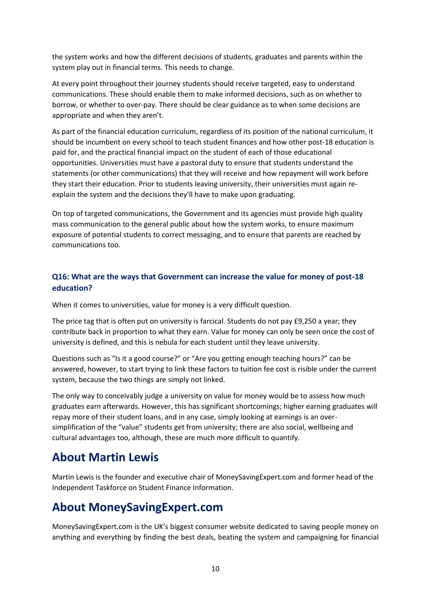the system works and how the different decisions of students, graduates and parents within the system play out in financial terms. This needs to change.

At every point throughout their journey students should receive targeted, easy to understand communications. These should enable them to make informed decisions, such as on whether to borrow, or whether to over-pay. There should be clear guidance as to when some decisions are appropriate and when they aren't.

As part of the financial education curriculum, regardless of its position of the national curriculum, it should be incumbent on every school to teach student finances and how other post-18 education is paid for, and the practical financial impact on the student of each of those educational opportunities. Universities must have a pastoral duty to ensure that students understand the statements (or other communications) that they will receive and how repayment will work before they start their education. Prior to students leaving university, their universities must again reexplain the system and the decisions they'll have to make upon graduating.

On top of targeted communications, the Government and its agencies must provide high quality mass communication to the general public about how the system works, to ensure maximum exposure of potential students to correct messaging, and to ensure that parents are reached by communications too.

#### **Q16: What are the ways that Government can increase the value for money of post-18 education?**

When it comes to universities, value for money is a very difficult question.

The price tag that is often put on university is farcical. Students do not pay £9,250 a year; they contribute back in proportion to what they earn. Value for money can only be seen once the cost of university is defined, and this is nebula for each student until they leave university.

Questions such as "Is it a good course?" or "Are you getting enough teaching hours?" can be answered, however, to start trying to link these factors to tuition fee cost is risible under the current system, because the two things are simply not linked.

The only way to conceivably judge a university on value for money would be to assess how much graduates earn afterwards. However, this has significant shortcomings; higher earning graduates will repay more of their student loans, and in any case, simply looking at earnings is an oversimplification of the "value" students get from university; there are also social, wellbeing and cultural advantages too, although, these are much more difficult to quantify.

## **About Martin Lewis**

Martin Lewis is the founder and executive chair of MoneySavingExpert.com and former head of the Independent Taskforce on Student Finance Information.

## **About MoneySavingExpert.com**

MoneySavingExpert.com is the UK's biggest consumer website dedicated to saving people money on anything and everything by finding the best deals, beating the system and campaigning for financial